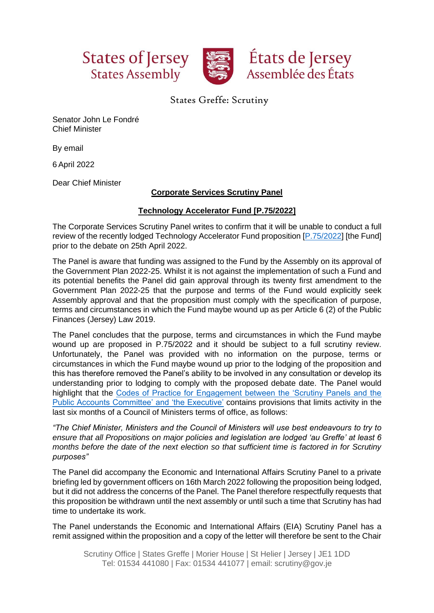





## States Greffe: Scrutiny

Senator John Le Fondré Chief Minister

By email

6 April 2022

Dear Chief Minister

## **Corporate Services Scrutiny Panel**

## **Technology Accelerator Fund [P.75/2022]**

The Corporate Services Scrutiny Panel writes to confirm that it will be unable to conduct a full review of the recently lodged Technology Accelerator Fund proposition [\[P.75/2022\]](https://statesassembly.gov.je/assemblypropositions/2022/p.75-2022.pdf) [the Fund] prior to the debate on 25th April 2022.

The Panel is aware that funding was assigned to the Fund by the Assembly on its approval of the Government Plan 2022-25. Whilst it is not against the implementation of such a Fund and its potential benefits the Panel did gain approval through its twenty first amendment to the Government Plan 2022-25 that the purpose and terms of the Fund would explicitly seek Assembly approval and that the proposition must comply with the specification of purpose, terms and circumstances in which the Fund maybe wound up as per Article 6 (2) of the Public Finances (Jersey) Law 2019.

The Panel concludes that the purpose, terms and circumstances in which the Fund maybe wound up are proposed in P.75/2022 and it should be subject to a full scrutiny review. Unfortunately, the Panel was provided with no information on the purpose, terms or circumstances in which the Fund maybe wound up prior to the lodging of the proposition and this has therefore removed the Panel's ability to be involved in any consultation or develop its understanding prior to lodging to comply with the proposed debate date. The Panel would highlight that the [Codes of Practice for Engagement between the 'Scrutiny Panels and the](https://statesassembly.gov.je/assemblypropositions/2018/p.56-2018.pdf)  [Public Accounts Committee'](https://statesassembly.gov.je/assemblypropositions/2018/p.56-2018.pdf) and 'the Executive' contains provisions that limits activity in the last six months of a Council of Ministers terms of office, as follows:

*"The Chief Minister, Ministers and the Council of Ministers will use best endeavours to try to ensure that all Propositions on major policies and legislation are lodged 'au Greffe' at least 6 months before the date of the next election so that sufficient time is factored in for Scrutiny purposes"*

The Panel did accompany the Economic and International Affairs Scrutiny Panel to a private briefing led by government officers on 16th March 2022 following the proposition being lodged, but it did not address the concerns of the Panel. The Panel therefore respectfully requests that this proposition be withdrawn until the next assembly or until such a time that Scrutiny has had time to undertake its work.

The Panel understands the Economic and International Affairs (EIA) Scrutiny Panel has a remit assigned within the proposition and a copy of the letter will therefore be sent to the Chair

Scrutiny Office | States Greffe | Morier House | St Helier | Jersey | JE1 1DD Tel: 01534 441080 | Fax: 01534 441077 | email: scrutiny@gov.je